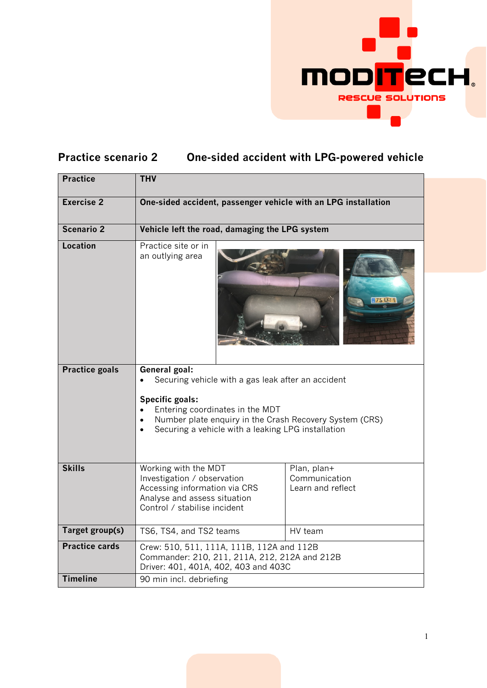

## **Practice scenario 2 One-sided accident with LPG-powered vehicle**

| <b>Practice</b>       | <b>THV</b>                                                                                                                                                                                                                                                                  |                                                   |  |
|-----------------------|-----------------------------------------------------------------------------------------------------------------------------------------------------------------------------------------------------------------------------------------------------------------------------|---------------------------------------------------|--|
| Exercise <sub>2</sub> | One-sided accident, passenger vehicle with an LPG installation                                                                                                                                                                                                              |                                                   |  |
| Scenario 2            | Vehicle left the road, damaging the LPG system                                                                                                                                                                                                                              |                                                   |  |
| <b>Location</b>       | Practice site or in<br>an outlying area                                                                                                                                                                                                                                     |                                                   |  |
| <b>Practice goals</b> | General goal:<br>Securing vehicle with a gas leak after an accident<br><b>Specific goals:</b><br>Entering coordinates in the MDT<br>Number plate enquiry in the Crash Recovery System (CRS)<br>$\bullet$<br>Securing a vehicle with a leaking LPG installation<br>$\bullet$ |                                                   |  |
| <b>Skills</b>         | Working with the MDT<br>Investigation / observation<br>Accessing information via CRS<br>Analyse and assess situation<br>Control / stabilise incident                                                                                                                        | Plan, plan+<br>Communication<br>Learn and reflect |  |
| Target group(s)       | TS6, TS4, and TS2 teams                                                                                                                                                                                                                                                     | HV team                                           |  |
| <b>Practice cards</b> | Crew: 510, 511, 111A, 111B, 112A and 112B<br>Commander: 210, 211, 211A, 212, 212A and 212B<br>Driver: 401, 401A, 402, 403 and 403C                                                                                                                                          |                                                   |  |
| <b>Timeline</b>       | 90 min incl. debriefing                                                                                                                                                                                                                                                     |                                                   |  |